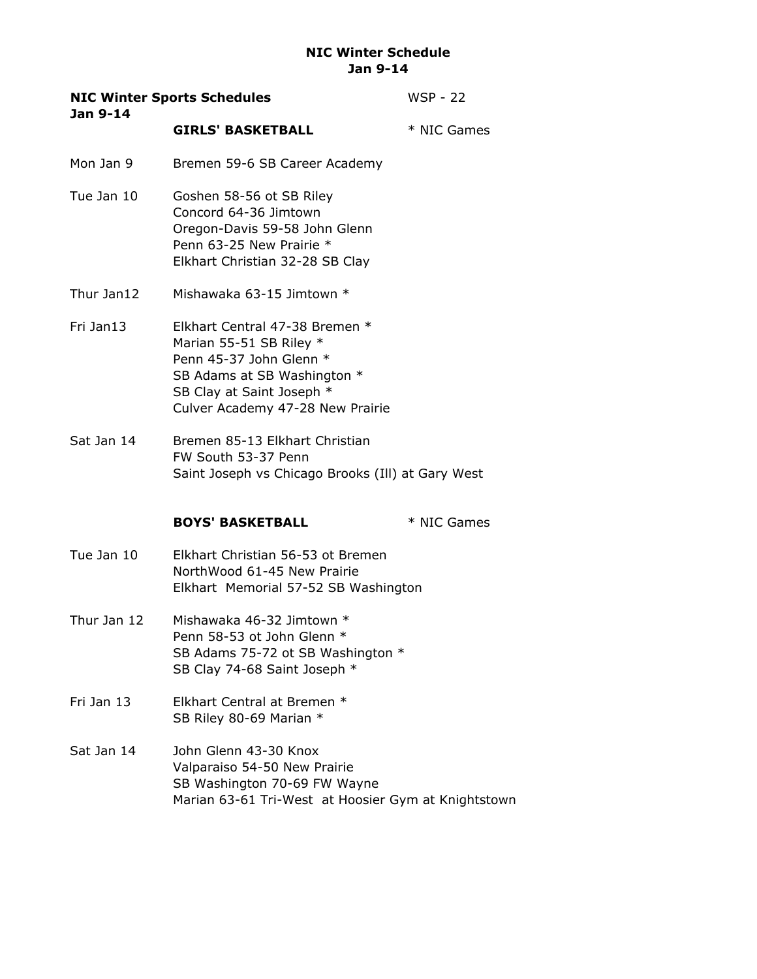| Jan 9-14    | <b>NIC Winter Sports Schedules</b>                                                                                                                                                   | WSP - 22    |
|-------------|--------------------------------------------------------------------------------------------------------------------------------------------------------------------------------------|-------------|
|             | <b>GIRLS' BASKETBALL</b>                                                                                                                                                             | * NIC Games |
| Mon Jan 9   | Bremen 59-6 SB Career Academy                                                                                                                                                        |             |
| Tue Jan 10  | Goshen 58-56 ot SB Riley<br>Concord 64-36 Jimtown<br>Oregon-Davis 59-58 John Glenn<br>Penn 63-25 New Prairie *<br>Elkhart Christian 32-28 SB Clay                                    |             |
| Thur Jan12  | Mishawaka 63-15 Jimtown *                                                                                                                                                            |             |
| Fri Jan13   | Elkhart Central 47-38 Bremen *<br>Marian 55-51 SB Riley *<br>Penn 45-37 John Glenn *<br>SB Adams at SB Washington *<br>SB Clay at Saint Joseph *<br>Culver Academy 47-28 New Prairie |             |
| Sat Jan 14  | Bremen 85-13 Elkhart Christian<br>FW South 53-37 Penn<br>Saint Joseph vs Chicago Brooks (Ill) at Gary West                                                                           |             |
|             | <b>BOYS' BASKETBALL</b>                                                                                                                                                              | * NIC Games |
| Tue Jan 10  | Elkhart Christian 56-53 ot Bremen<br>NorthWood 61-45 New Prairie<br>Elkhart Memorial 57-52 SB Washington                                                                             |             |
| Thur Jan 12 | Mishawaka 46-32 Jimtown *<br>Penn 58-53 ot John Glenn *<br>SB Adams 75-72 ot SB Washington *<br>SB Clay 74-68 Saint Joseph *                                                         |             |
| Fri Jan 13  | Elkhart Central at Bremen *<br>SB Riley 80-69 Marian *                                                                                                                               |             |
| Sat Jan 14  | John Glenn 43-30 Knox<br>Valparaiso 54-50 New Prairie<br>SB Washington 70-69 FW Wayne<br>Marian 63-61 Tri-West at Hoosier Gym at Knightstown                                         |             |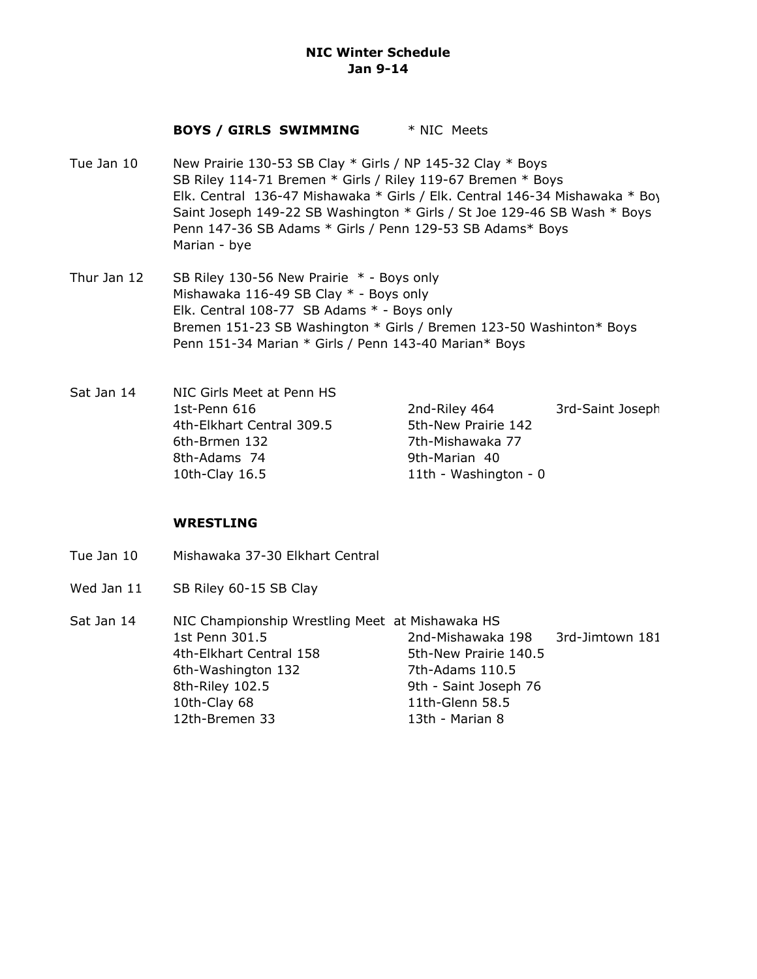#### **BOYS / GIRLS SWIMMING** \* NIC Meets

- Tue Jan 10 New Prairie 130-53 SB Clay \* Girls / NP 145-32 Clay \* Boys SB Riley 114-71 Bremen \* Girls / Riley 119-67 Bremen \* Boys Elk. Central 136-47 Mishawaka \* Girls / Elk. Central 146-34 Mishawaka \* Boys Saint Joseph 149-22 SB Washington \* Girls / St Joe 129-46 SB Wash \* Boys Penn 147-36 SB Adams \* Girls / Penn 129-53 SB Adams\* Boys Marian - bye
- Thur Jan 12 SB Riley 130-56 New Prairie  $*$  Boys only Mishawaka 116-49 SB Clay \* - Boys only Elk. Central 108-77 SB Adams \* - Boys only Bremen 151-23 SB Washington \* Girls / Bremen 123-50 Washinton\* Boys Penn 151-34 Marian \* Girls / Penn 143-40 Marian\* Boys
- Sat Jan 14 NIC Girls Meet at Penn HS 1st-Penn 616 **2nd-Riley 464** 3rd-Saint Joseph 4th-Elkhart Central 309.5 5th-New Prairie 142 6th-Brmen 132 7th-Mishawaka 77 8th-Adams 74 9th-Marian 40 10th-Clay 16.5 11th - Washington - 0

### **WRESTLING**

- Tue Jan 10 Mishawaka 37-30 Elkhart Central
- Wed Jan 11 SB Riley 60-15 SB Clay
- Sat Jan 14 NIC Championship Wrestling Meet at Mishawaka HS 1st Penn 301.5 2nd-Mishawaka 198 3rd-Jimtown 181 4th-Elkhart Central 158 5th-New Prairie 140.5 6th-Washington 132 7th-Adams 110.5 8th-Riley 102.5 9th - Saint Joseph 76 10th-Clay 68 11th-Glenn 58.5 12th-Bremen 33 13th - Marian 8